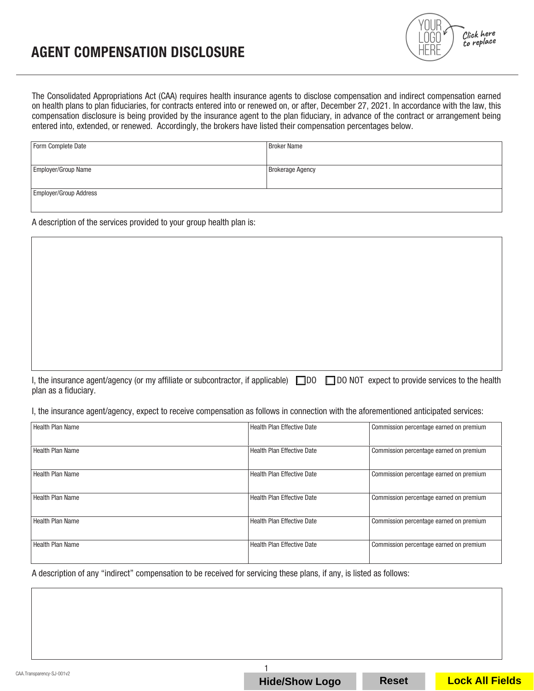## AGENT COMPENSATION DISCLOSURE



The Consolidated Appropriations Act (CAA) requires health insurance agents to disclose compensation and indirect compensation earned on health plans to plan fiduciaries, for contracts entered into or renewed on, or after, December 27, 2021. In accordance with the law, this compensation disclosure is being provided by the insurance agent to the plan fiduciary, in advance of the contract or arrangement being entered into, extended, or renewed. Accordingly, the brokers have listed their compensation percentages below.

| Form Complete Date     | <b>Broker Name</b>      |
|------------------------|-------------------------|
|                        |                         |
| Employer/Group Name    | <b>Brokerage Agency</b> |
|                        |                         |
| Employer/Group Address |                         |

A description of the services provided to your group health plan is:

I, the insurance agent/agency (or my affiliate or subcontractor, if applicable)  $\Box$ DO  $\Box$ DO NOT expect to provide services to the health plan as a fiduciary.

I, the insurance agent/agency, expect to receive compensation as follows in connection with the aforementioned anticipated services:

| Health Plan Name   | <b>Health Plan Effective Date</b> | Commission percentage earned on premium |
|--------------------|-----------------------------------|-----------------------------------------|
| Health Plan Name   | <b>Health Plan Effective Date</b> | Commission percentage earned on premium |
| l Health Plan Name | Health Plan Effective Date        | Commission percentage earned on premium |
| Health Plan Name   | <b>Health Plan Effective Date</b> | Commission percentage earned on premium |
| Health Plan Name   | <b>Health Plan Effective Date</b> | Commission percentage earned on premium |
| l Health Plan Name | Health Plan Effective Date        | Commission percentage earned on premium |

A description of any "indirect" compensation to be received for servicing these plans, if any, is listed as follows:

CAA.Transparency-SJ-001v2

**Hide/Show Logo Reset Lock All Fields**

1